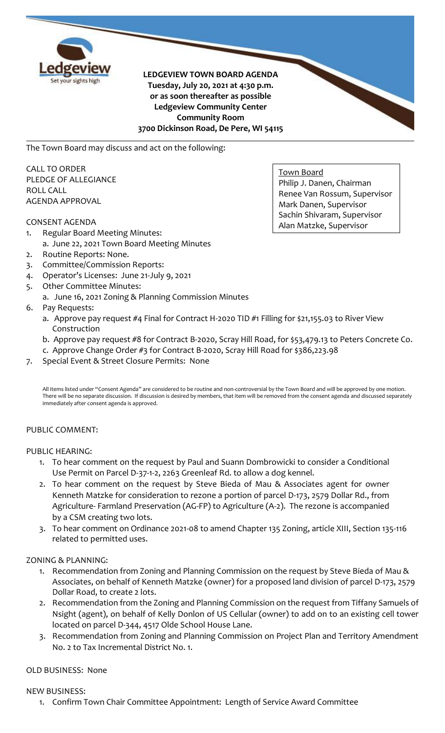

**LEDGEVIEW TOWN BOARD AGENDA Tuesday, July 20, 2021 at 4:30 p.m. or as soon thereafter as possible Ledgeview Community Center Community Room 3700 Dickinson Road, De Pere, WI 54115**

The Town Board may discuss and act on the following:

CALL TO ORDER PLEDGE OF ALLEGIANCE ROLL CALL AGENDA APPROVAL

## CONSENT AGENDA

- 1. Regular Board Meeting Minutes:
	- a. June 22, 2021 Town Board Meeting Minutes
- 2. Routine Reports: None.
- 3. Committee/Commission Reports:
- 4. Operator's Licenses: June 21-July 9, 2021
- 5. Other Committee Minutes:
	- a. June 16, 2021 Zoning & Planning Commission Minutes
- 6. Pay Requests:
	- a. Approve pay request #4 Final for Contract H-2020 TID #1 Filling for \$21,155.03 to River View Construction
	- b. Approve pay request #8 for Contract B-2020, Scray Hill Road, for \$53,479.13 to Peters Concrete Co.
	- c. Approve Change Order #3 for Contract B-2020, Scray Hill Road for \$386,223.98
- 7. Special Event & Street Closure Permits: None

All items listed under "Consent Agenda" are considered to be routine and non-controversial by the Town Board and will be approved by one motion. There will be no separate discussion. If discussion is desired by members, that item will be removed from the consent agenda and discussed separately immediately after consent agenda is approved.

## PUBLIC COMMENT:

## PUBLIC HEARING:

- 1. To hear comment on the request by Paul and Suann Dombrowicki to consider a Conditional Use Permit on Parcel D-37-1-2, 2263 Greenleaf Rd. to allow a dog kennel.
- 2. To hear comment on the request by Steve Bieda of Mau & Associates agent for owner Kenneth Matzke for consideration to rezone a portion of parcel D-173, 2579 Dollar Rd., from Agriculture- Farmland Preservation (AG-FP) to Agriculture (A-2). The rezone is accompanied by a CSM creating two lots.
- 3. To hear comment on Ordinance 2021-08 to amend Chapter 135 Zoning, article XIII, Section 135-116 related to permitted uses.

## ZONING & PLANNING:

- 1. Recommendation from Zoning and Planning Commission on the request by Steve Bieda of Mau & Associates, on behalf of Kenneth Matzke (owner) for a proposed land division of parcel D-173, 2579 Dollar Road, to create 2 lots.
- 2. Recommendation from the Zoning and Planning Commission on the request from Tiffany Samuels of Nsight (agent), on behalf of Kelly Donlon of US Cellular (owner) to add on to an existing cell tower located on parcel D-344, 4517 Olde School House Lane.
- 3. Recommendation from Zoning and Planning Commission on Project Plan and Territory Amendment No. 2 to Tax Incremental District No. 1.

# OLD BUSINESS: None

## NEW BUSINESS:

1. Confirm Town Chair Committee Appointment: Length of Service Award Committee

Town Board Philip J. Danen, Chairman Renee Van Rossum, Supervisor Mark Danen, Supervisor Sachin Shivaram, Supervisor Alan Matzke, Supervisor